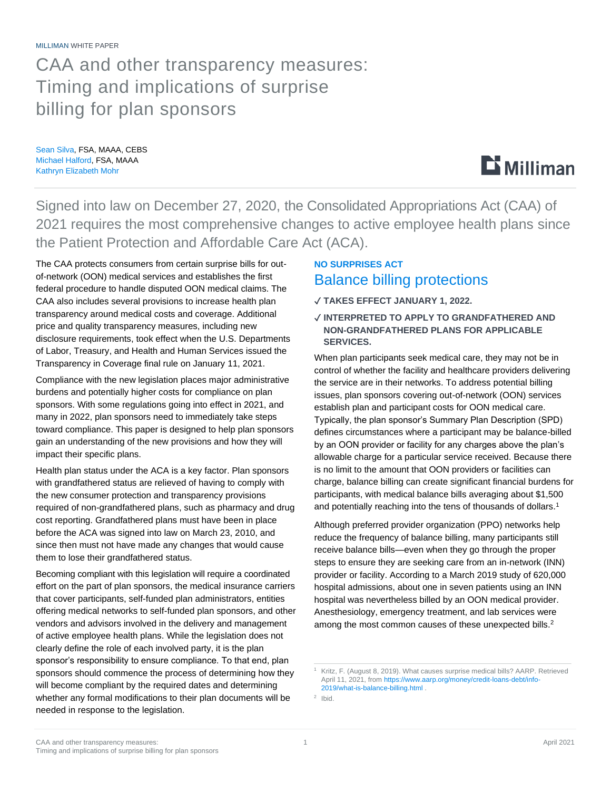MILLIMAN WHITE PAPER

## CAA and other transparency measures: Timing and implications of surprise billing for plan sponsors

Sean Silva, FSA, MAAA, CEBS Michael Halford, FSA, MAAA Kathryn Elizabeth Mohr



Signed into law on December 27, 2020, the Consolidated Appropriations Act (CAA) of 2021 requires the most comprehensive changes to active employee health plans since the Patient Protection and Affordable Care Act (ACA).

The CAA protects consumers from certain surprise bills for outof-network (OON) medical services and establishes the first federal procedure to handle disputed OON medical claims. The CAA also includes several provisions to increase health plan transparency around medical costs and coverage. Additional price and quality transparency measures, including new disclosure requirements, took effect when the U.S. Departments of Labor, Treasury, and Health and Human Services issued the Transparency in Coverage final rule on January 11, 2021.

Compliance with the new legislation places major administrative burdens and potentially higher costs for compliance on plan sponsors. With some regulations going into effect in 2021, and many in 2022, plan sponsors need to immediately take steps toward compliance. This paper is designed to help plan sponsors gain an understanding of the new provisions and how they will impact their specific plans.

Health plan status under the ACA is a key factor. Plan sponsors with grandfathered status are relieved of having to comply with the new consumer protection and transparency provisions required of non-grandfathered plans, such as pharmacy and drug cost reporting. Grandfathered plans must have been in place before the ACA was signed into law on March 23, 2010, and since then must not have made any changes that would cause them to lose their grandfathered status.

Becoming compliant with this legislation will require a coordinated effort on the part of plan sponsors, the medical insurance carriers that cover participants, self-funded plan administrators, entities offering medical networks to self-funded plan sponsors, and other vendors and advisors involved in the delivery and management of active employee health plans. While the legislation does not clearly define the role of each involved party, it is the plan sponsor's responsibility to ensure compliance. To that end, plan sponsors should commence the process of determining how they will become compliant by the required dates and determining whether any formal modifications to their plan documents will be needed in response to the legislation.

## **NO SURPRISES ACT** Balance billing protections

- ✓ **TAKES EFFECT JANUARY 1, 2022.**
- ✓ **INTERPRETED TO APPLY TO GRANDFATHERED AND NON-GRANDFATHERED PLANS FOR APPLICABLE SERVICES.**

When plan participants seek medical care, they may not be in control of whether the facility and healthcare providers delivering the service are in their networks. To address potential billing issues, plan sponsors covering out-of-network (OON) services establish plan and participant costs for OON medical care. Typically, the plan sponsor's Summary Plan Description (SPD) defines circumstances where a participant may be balance-billed by an OON provider or facility for any charges above the plan's allowable charge for a particular service received. Because there is no limit to the amount that OON providers or facilities can charge, balance billing can create significant financial burdens for participants, with medical balance bills averaging about \$1,500 and potentially reaching into the tens of thousands of dollars.<sup>1</sup>

Although preferred provider organization (PPO) networks help reduce the frequency of balance billing, many participants still receive balance bills—even when they go through the proper steps to ensure they are seeking care from an in-network (INN) provider or facility. According to a March 2019 study of 620,000 hospital admissions, about one in seven patients using an INN hospital was nevertheless billed by an OON medical provider. Anesthesiology, emergency treatment, and lab services were among the most common causes of these unexpected bills.<sup>2</sup>

<sup>&</sup>lt;sup>1</sup> Kritz, F. (August 8, 2019). What causes surprise medical bills? AARP. Retrieved April 11, 2021, from [https://www.aarp.org/money/credit-loans-debt/info-](https://www.aarp.org/money/credit-loans-debt/info-2019/what-is-balance-billing.html)[2019/what-is-balance-billing.html](https://www.aarp.org/money/credit-loans-debt/info-2019/what-is-balance-billing.html) .

<sup>2</sup> Ibid.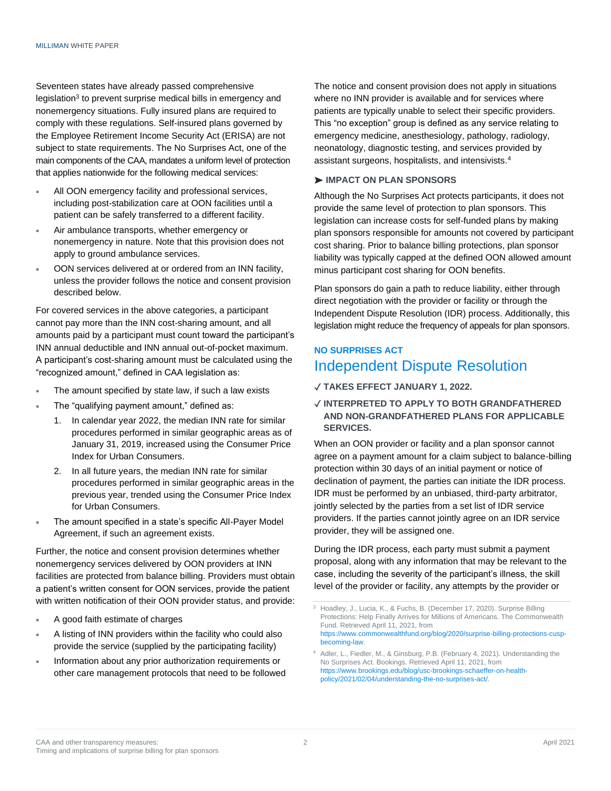Seventeen states have already passed comprehensive legislation<sup>3</sup> to prevent surprise medical bills in emergency and nonemergency situations. Fully insured plans are required to comply with these regulations. Self-insured plans governed by the Employee Retirement Income Security Act (ERISA) are not subject to state requirements. The No Surprises Act, one of the main components of the CAA, mandates a uniform level of protection that applies nationwide for the following medical services:

- All OON emergency facility and professional services, including post-stabilization care at OON facilities until a patient can be safely transferred to a different facility.
- Air ambulance transports, whether emergency or nonemergency in nature. Note that this provision does not apply to ground ambulance services.
- OON services delivered at or ordered from an INN facility, unless the provider follows the notice and consent provision described below.

For covered services in the above categories, a participant cannot pay more than the INN cost-sharing amount, and all amounts paid by a participant must count toward the participant's INN annual deductible and INN annual out-of-pocket maximum. A participant's cost-sharing amount must be calculated using the "recognized amount," defined in CAA legislation as:

- The amount specified by state law, if such a law exists
- The "qualifying payment amount," defined as:
	- 1. In calendar year 2022, the median INN rate for similar procedures performed in similar geographic areas as of January 31, 2019, increased using the Consumer Price Index for Urban Consumers.
	- 2. In all future years, the median INN rate for similar procedures performed in similar geographic areas in the previous year, trended using the Consumer Price Index for Urban Consumers.
- The amount specified in a state's specific All-Payer Model Agreement, if such an agreement exists.

Further, the notice and consent provision determines whether nonemergency services delivered by OON providers at INN facilities are protected from balance billing. Providers must obtain a patient's written consent for OON services, provide the patient with written notification of their OON provider status, and provide:

- A good faith estimate of charges
- A listing of INN providers within the facility who could also provide the service (supplied by the participating facility)
- Information about any prior authorization requirements or other care management protocols that need to be followed

The notice and consent provision does not apply in situations where no INN provider is available and for services where patients are typically unable to select their specific providers. This "no exception" group is defined as any service relating to emergency medicine, anesthesiology, pathology, radiology, neonatology, diagnostic testing, and services provided by assistant surgeons, hospitalists, and intensivists.<sup>4</sup>

#### ➤ **IMPACT ON PLAN SPONSORS**

Although the No Surprises Act protects participants, it does not provide the same level of protection to plan sponsors. This legislation can increase costs for self-funded plans by making plan sponsors responsible for amounts not covered by participant cost sharing. Prior to balance billing protections, plan sponsor liability was typically capped at the defined OON allowed amount minus participant cost sharing for OON benefits.

Plan sponsors do gain a path to reduce liability, either through direct negotiation with the provider or facility or through the Independent Dispute Resolution (IDR) process. Additionally, this legislation might reduce the frequency of appeals for plan sponsors.

### **NO SURPRISES ACT** Independent Dispute Resolution

- ✓ **TAKES EFFECT JANUARY 1, 2022.**
- ✓ **INTERPRETED TO APPLY TO BOTH GRANDFATHERED AND NON-GRANDFATHERED PLANS FOR APPLICABLE SERVICES.**

When an OON provider or facility and a plan sponsor cannot agree on a payment amount for a claim subject to balance-billing protection within 30 days of an initial payment or notice of declination of payment, the parties can initiate the IDR process. IDR must be performed by an unbiased, third-party arbitrator, jointly selected by the parties from a set list of IDR service providers. If the parties cannot jointly agree on an IDR service provider, they will be assigned one.

During the IDR process, each party must submit a payment proposal, along with any information that may be relevant to the case, including the severity of the participant's illness, the skill level of the provider or facility, any attempts by the provider or

Hoadley, J., Lucia, K., & Fuchs, B. (December 17, 2020). Surprise Billing Protections: Help Finally Arrives for Millions of Americans. The Commonwealth Fund. Retrieved April 11, 2021, from [https://www.commonwealthfund.org/blog/2020/surprise-billing-protections-cusp](https://www.commonwealthfund.org/blog/2020/surprise-billing-protections-cusp-becoming-law)[becoming-law.](https://www.commonwealthfund.org/blog/2020/surprise-billing-protections-cusp-becoming-law) 

<sup>4</sup> Adler, L., Fiedler, M., & Ginsburg, P.B. (February 4, 2021). Understanding the No Surprises Act. Bookings. Retrieved April 11, 2021, from [https://www.brookings.edu/blog/usc-brookings-schaeffer-on-health](https://www.brookings.edu/blog/usc-brookings-schaeffer-on-health-policy/2021/02/04/understanding-the-no-surprises-act/)[policy/2021/02/04/understanding-the-no-surprises-act/.](https://www.brookings.edu/blog/usc-brookings-schaeffer-on-health-policy/2021/02/04/understanding-the-no-surprises-act/)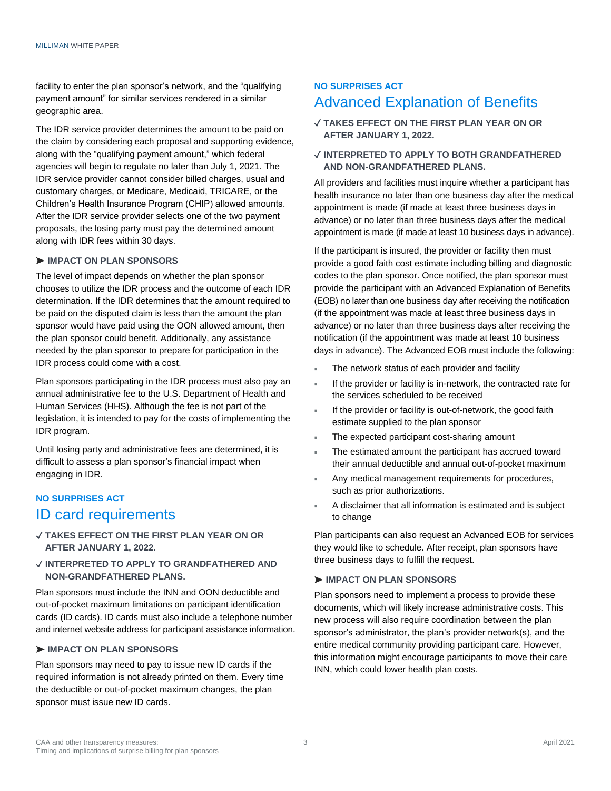facility to enter the plan sponsor's network, and the "qualifying payment amount" for similar services rendered in a similar geographic area.

The IDR service provider determines the amount to be paid on the claim by considering each proposal and supporting evidence, along with the "qualifying payment amount," which federal agencies will begin to regulate no later than July 1, 2021. The IDR service provider cannot consider billed charges, usual and customary charges, or Medicare, Medicaid, TRICARE, or the Children's Health Insurance Program (CHIP) allowed amounts. After the IDR service provider selects one of the two payment proposals, the losing party must pay the determined amount along with IDR fees within 30 days.

#### ➤ **IMPACT ON PLAN SPONSORS**

The level of impact depends on whether the plan sponsor chooses to utilize the IDR process and the outcome of each IDR determination. If the IDR determines that the amount required to be paid on the disputed claim is less than the amount the plan sponsor would have paid using the OON allowed amount, then the plan sponsor could benefit. Additionally, any assistance needed by the plan sponsor to prepare for participation in the IDR process could come with a cost.

Plan sponsors participating in the IDR process must also pay an annual administrative fee to the U.S. Department of Health and Human Services (HHS). Although the fee is not part of the legislation, it is intended to pay for the costs of implementing the IDR program.

Until losing party and administrative fees are determined, it is difficult to assess a plan sponsor's financial impact when engaging in IDR.

### **NO SURPRISES ACT** ID card requirements

### ✓ **TAKES EFFECT ON THE FIRST PLAN YEAR ON OR AFTER JANUARY 1, 2022.**

### ✓ **INTERPRETED TO APPLY TO GRANDFATHERED AND NON-GRANDFATHERED PLANS.**

Plan sponsors must include the INN and OON deductible and out-of-pocket maximum limitations on participant identification cards (ID cards). ID cards must also include a telephone number and internet website address for participant assistance information.

### ➤ **IMPACT ON PLAN SPONSORS**

Plan sponsors may need to pay to issue new ID cards if the required information is not already printed on them. Every time the deductible or out-of-pocket maximum changes, the plan sponsor must issue new ID cards.

### **NO SURPRISES ACT** Advanced Explanation of Benefits

✓ **TAKES EFFECT ON THE FIRST PLAN YEAR ON OR AFTER JANUARY 1, 2022.**

### ✓ **INTERPRETED TO APPLY TO BOTH GRANDFATHERED AND NON-GRANDFATHERED PLANS.**

All providers and facilities must inquire whether a participant has health insurance no later than one business day after the medical appointment is made (if made at least three business days in advance) or no later than three business days after the medical appointment is made (if made at least 10 business days in advance).

If the participant is insured, the provider or facility then must provide a good faith cost estimate including billing and diagnostic codes to the plan sponsor. Once notified, the plan sponsor must provide the participant with an Advanced Explanation of Benefits (EOB) no later than one business day after receiving the notification (if the appointment was made at least three business days in advance) or no later than three business days after receiving the notification (if the appointment was made at least 10 business days in advance). The Advanced EOB must include the following:

- The network status of each provider and facility
- If the provider or facility is in-network, the contracted rate for the services scheduled to be received
- If the provider or facility is out-of-network, the good faith estimate supplied to the plan sponsor
- The expected participant cost-sharing amount
- The estimated amount the participant has accrued toward their annual deductible and annual out-of-pocket maximum
- Any medical management requirements for procedures, such as prior authorizations.
- A disclaimer that all information is estimated and is subject to change

Plan participants can also request an Advanced EOB for services they would like to schedule. After receipt, plan sponsors have three business days to fulfill the request.

#### ➤ **IMPACT ON PLAN SPONSORS**

Plan sponsors need to implement a process to provide these documents, which will likely increase administrative costs. This new process will also require coordination between the plan sponsor's administrator, the plan's provider network(s), and the entire medical community providing participant care. However, this information might encourage participants to move their care INN, which could lower health plan costs.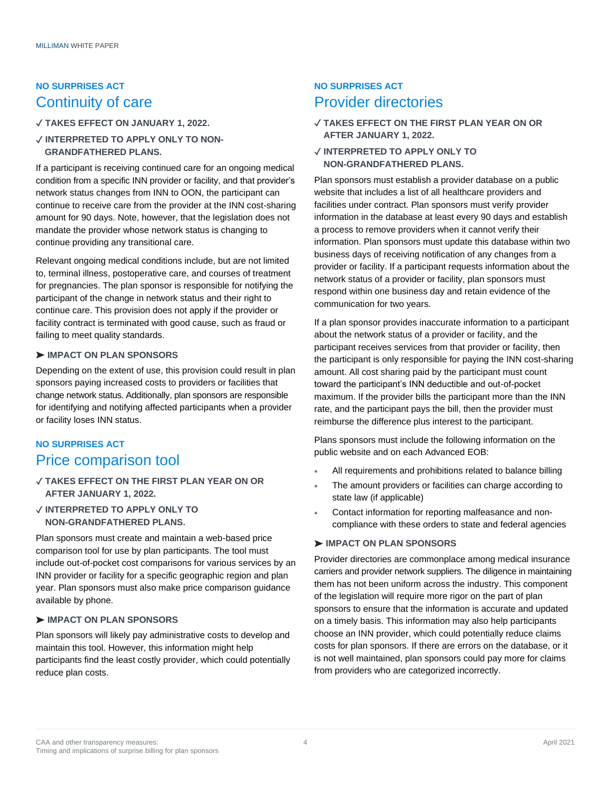## **NO SURPRISES ACT** Continuity of care

### ✓ **TAKES EFFECT ON JANUARY 1, 2022.**

### ✓ **INTERPRETED TO APPLY ONLY TO NON-GRANDFATHERED PLANS.**

If a participant is receiving continued care for an ongoing medical condition from a specific INN provider or facility, and that provider's network status changes from INN to OON, the participant can continue to receive care from the provider at the INN cost-sharing amount for 90 days. Note, however, that the legislation does not mandate the provider whose network status is changing to continue providing any transitional care.

Relevant ongoing medical conditions include, but are not limited to, terminal illness, postoperative care, and courses of treatment for pregnancies. The plan sponsor is responsible for notifying the participant of the change in network status and their right to continue care. This provision does not apply if the provider or facility contract is terminated with good cause, such as fraud or failing to meet quality standards.

### ➤ **IMPACT ON PLAN SPONSORS**

Depending on the extent of use, this provision could result in plan sponsors paying increased costs to providers or facilities that change network status. Additionally, plan sponsors are responsible for identifying and notifying affected participants when a provider or facility loses INN status.

## **NO SURPRISES ACT** Price comparison tool

### ✓ **TAKES EFFECT ON THE FIRST PLAN YEAR ON OR AFTER JANUARY 1, 2022.**

### ✓ **INTERPRETED TO APPLY ONLY TO NON-GRANDFATHERED PLANS.**

Plan sponsors must create and maintain a web-based price comparison tool for use by plan participants. The tool must include out-of-pocket cost comparisons for various services by an INN provider or facility for a specific geographic region and plan year. Plan sponsors must also make price comparison guidance available by phone.

### ➤ **IMPACT ON PLAN SPONSORS**

Plan sponsors will likely pay administrative costs to develop and maintain this tool. However, this information might help participants find the least costly provider, which could potentially reduce plan costs.

### **NO SURPRISES ACT** Provider directories

- ✓ **TAKES EFFECT ON THE FIRST PLAN YEAR ON OR AFTER JANUARY 1, 2022.**
- ✓ **INTERPRETED TO APPLY ONLY TO NON-GRANDFATHERED PLANS.**

Plan sponsors must establish a provider database on a public website that includes a list of all healthcare providers and facilities under contract. Plan sponsors must verify provider information in the database at least every 90 days and establish a process to remove providers when it cannot verify their information. Plan sponsors must update this database within two business days of receiving notification of any changes from a provider or facility. If a participant requests information about the network status of a provider or facility, plan sponsors must respond within one business day and retain evidence of the communication for two years.

If a plan sponsor provides inaccurate information to a participant about the network status of a provider or facility, and the participant receives services from that provider or facility, then the participant is only responsible for paying the INN cost-sharing amount. All cost sharing paid by the participant must count toward the participant's INN deductible and out-of-pocket maximum. If the provider bills the participant more than the INN rate, and the participant pays the bill, then the provider must reimburse the difference plus interest to the participant.

Plans sponsors must include the following information on the public website and on each Advanced EOB:

- All requirements and prohibitions related to balance billing
- The amount providers or facilities can charge according to state law (if applicable)
- Contact information for reporting malfeasance and noncompliance with these orders to state and federal agencies

### ➤ **IMPACT ON PLAN SPONSORS**

Provider directories are commonplace among medical insurance carriers and provider network suppliers. The diligence in maintaining them has not been uniform across the industry. This component of the legislation will require more rigor on the part of plan sponsors to ensure that the information is accurate and updated on a timely basis. This information may also help participants choose an INN provider, which could potentially reduce claims costs for plan sponsors. If there are errors on the database, or it is not well maintained, plan sponsors could pay more for claims from providers who are categorized incorrectly.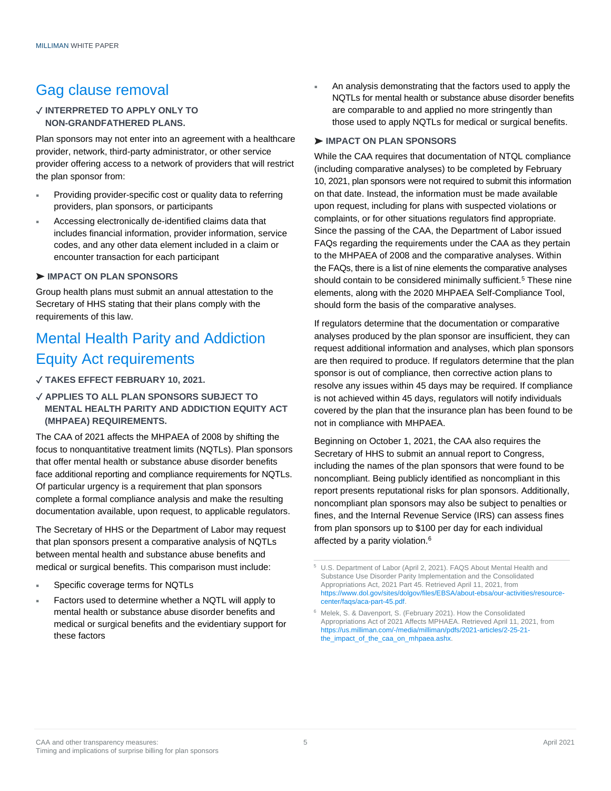## Gag clause removal

### ✓ **INTERPRETED TO APPLY ONLY TO NON-GRANDFATHERED PLANS.**

Plan sponsors may not enter into an agreement with a healthcare provider, network, third-party administrator, or other service provider offering access to a network of providers that will restrict the plan sponsor from:

- Providing provider-specific cost or quality data to referring providers, plan sponsors, or participants
- Accessing electronically de-identified claims data that includes financial information, provider information, service codes, and any other data element included in a claim or encounter transaction for each participant

### ➤ **IMPACT ON PLAN SPONSORS**

Group health plans must submit an annual attestation to the Secretary of HHS stating that their plans comply with the requirements of this law.

## Mental Health Parity and Addiction Equity Act requirements

### ✓ **TAKES EFFECT FEBRUARY 10, 2021.**

### ✓ **APPLIES TO ALL PLAN SPONSORS SUBJECT TO MENTAL HEALTH PARITY AND ADDICTION EQUITY ACT (MHPAEA) REQUIREMENTS.**

The CAA of 2021 affects the MHPAEA of 2008 by shifting the focus to nonquantitative treatment limits (NQTLs). Plan sponsors that offer mental health or substance abuse disorder benefits face additional reporting and compliance requirements for NQTLs. Of particular urgency is a requirement that plan sponsors complete a formal compliance analysis and make the resulting documentation available, upon request, to applicable regulators.

The Secretary of HHS or the Department of Labor may request that plan sponsors present a comparative analysis of NQTLs between mental health and substance abuse benefits and medical or surgical benefits. This comparison must include:

- Specific coverage terms for NQTLs
- Factors used to determine whether a NQTL will apply to mental health or substance abuse disorder benefits and medical or surgical benefits and the evidentiary support for these factors

 An analysis demonstrating that the factors used to apply the NQTLs for mental health or substance abuse disorder benefits are comparable to and applied no more stringently than those used to apply NQTLs for medical or surgical benefits.

### ➤ **IMPACT ON PLAN SPONSORS**

While the CAA requires that documentation of NTQL compliance (including comparative analyses) to be completed by February 10, 2021, plan sponsors were not required to submit this information on that date. Instead, the information must be made available upon request, including for plans with suspected violations or complaints, or for other situations regulators find appropriate. Since the passing of the CAA, the Department of Labor issued FAQs regarding the requirements under the CAA as they pertain to the MHPAEA of 2008 and the comparative analyses. Within the FAQs, there is a list of nine elements the comparative analyses should contain to be considered minimally sufficient[.](https://www.milliman.com/en/insight/CAA-and-other-transparency-measures-Timing-and-implications-of-surprise-billing-for-plan-sponsors#5)<sup>5</sup> These nine elements, along with the 2020 MHPAEA Self-Compliance Tool, should form the basis of the comparative analyses.

If regulators determine that the documentation or comparative analyses produced by the plan sponsor are insufficient, they can request additional information and analyses, which plan sponsors are then required to produce. If regulators determine that the plan sponsor is out of compliance, then corrective action plans to resolve any issues within 45 days may be required. If compliance is not achieved within 45 days, regulators will notify individuals covered by the plan that the insurance plan has been found to be not in compliance with MHPAEA.

Beginning on October 1, 2021, the CAA also requires the Secretary of HHS to submit an annual report to Congress, including the names of the plan sponsors that were found to be noncompliant. Being publicly identified as noncompliant in this report presents reputational risks for plan sponsors. Additionally, noncompliant plan sponsors may also be subject to penalties or fines, and the Internal Revenue Service (IRS) can assess fines from plan sponsors up to \$100 per day for each individual affected by a parity violation.<sup>6</sup>

<sup>5</sup> U.S. Department of Labor (April 2, 2021). FAQS About Mental Health and Substance Use Disorder Parity Implementation and the Consolidated Appropriations Act, 2021 Part 45. Retrieved April 11, 2021, from [https://www.dol.gov/sites/dolgov/files/EBSA/about-ebsa/our-activities/resource](https://www.dol.gov/sites/dolgov/files/EBSA/about-ebsa/our-activities/resource-center/faqs/aca-part-45.pdf)[center/faqs/aca-part-45.pdf.](https://www.dol.gov/sites/dolgov/files/EBSA/about-ebsa/our-activities/resource-center/faqs/aca-part-45.pdf) 

<sup>6</sup> Melek, S. & Davenport, S. (February 2021). How the Consolidated Appropriations Act of 2021 Affects MPHAEA. Retrieved April 11, 2021, from [https://us.milliman.com/-/media/milliman/pdfs/2021-articles/2-25-21](https://us.milliman.com/-/media/milliman/pdfs/2021-articles/2-25-21-the_impact_of_the_caa_on_mhpaea.ashx) [the\\_impact\\_of\\_the\\_caa\\_on\\_mhpaea.ashx.](https://us.milliman.com/-/media/milliman/pdfs/2021-articles/2-25-21-the_impact_of_the_caa_on_mhpaea.ashx)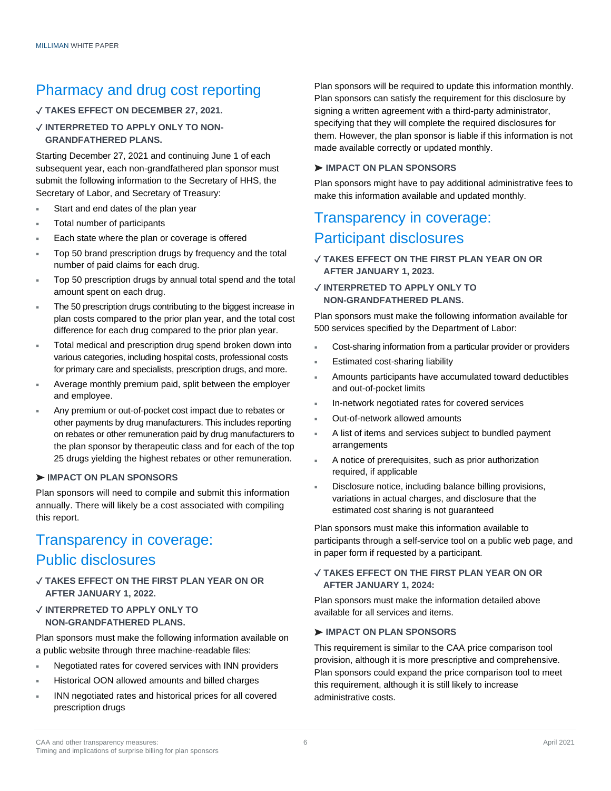## Pharmacy and drug cost reporting

### ✓ **TAKES EFFECT ON DECEMBER 27, 2021.**

### ✓ **INTERPRETED TO APPLY ONLY TO NON-GRANDFATHERED PLANS.**

Starting December 27, 2021 and continuing June 1 of each subsequent year, each non-grandfathered plan sponsor must submit the following information to the Secretary of HHS, the Secretary of Labor, and Secretary of Treasury:

- Start and end dates of the plan year
- Total number of participants
- Each state where the plan or coverage is offered
- Top 50 brand prescription drugs by frequency and the total number of paid claims for each drug.
- Top 50 prescription drugs by annual total spend and the total amount spent on each drug.
- The 50 prescription drugs contributing to the biggest increase in plan costs compared to the prior plan year, and the total cost difference for each drug compared to the prior plan year.
- Total medical and prescription drug spend broken down into various categories, including hospital costs, professional costs for primary care and specialists, prescription drugs, and more.
- Average monthly premium paid, split between the employer and employee.
- Any premium or out-of-pocket cost impact due to rebates or other payments by drug manufacturers. This includes reporting on rebates or other remuneration paid by drug manufacturers to the plan sponsor by therapeutic class and for each of the top 25 drugs yielding the highest rebates or other remuneration.

### ➤ I**MPACT ON PLAN SPONSORS**

Plan sponsors will need to compile and submit this information annually. There will likely be a cost associated with compiling this report.

## Transparency in coverage: Public disclosures

### ✓ **TAKES EFFECT ON THE FIRST PLAN YEAR ON OR AFTER JANUARY 1, 2022.**

✓ **INTERPRETED TO APPLY ONLY TO NON-GRANDFATHERED PLANS.** 

Plan sponsors must make the following information available on a public website through three machine-readable files:

- Negotiated rates for covered services with INN providers
- Historical OON allowed amounts and billed charges
- INN negotiated rates and historical prices for all covered prescription drugs

Plan sponsors will be required to update this information monthly. Plan sponsors can satisfy the requirement for this disclosure by signing a written agreement with a third-party administrator, specifying that they will complete the required disclosures for them. However, the plan sponsor is liable if this information is not made available correctly or updated monthly.

### ➤ **IMPACT ON PLAN SPONSORS**

Plan sponsors might have to pay additional administrative fees to make this information available and updated monthly.

## Transparency in coverage: Participant disclosures

- ✓ **TAKES EFFECT ON THE FIRST PLAN YEAR ON OR AFTER JANUARY 1, 2023.**
- ✓ **INTERPRETED TO APPLY ONLY TO NON-GRANDFATHERED PLANS.**

Plan sponsors must make the following information available for 500 services specified by the Department of Labor:

- Cost-sharing information from a particular provider or providers
- Estimated cost-sharing liability
- Amounts participants have accumulated toward deductibles and out-of-pocket limits
- In-network negotiated rates for covered services
- Out-of-network allowed amounts
- A list of items and services subject to bundled payment arrangements
- A notice of prerequisites, such as prior authorization required, if applicable
- Disclosure notice, including balance billing provisions, variations in actual charges, and disclosure that the estimated cost sharing is not guaranteed

Plan sponsors must make this information available to participants through a self-service tool on a public web page, and in paper form if requested by a participant.

### ✓ **TAKES EFFECT ON THE FIRST PLAN YEAR ON OR AFTER JANUARY 1, 2024:**

Plan sponsors must make the information detailed above available for all services and items.

### ➤ **IMPACT ON PLAN SPONSORS**

This requirement is similar to the CAA price comparison tool provision, although it is more prescriptive and comprehensive. Plan sponsors could expand the price comparison tool to meet this requirement, although it is still likely to increase administrative costs.